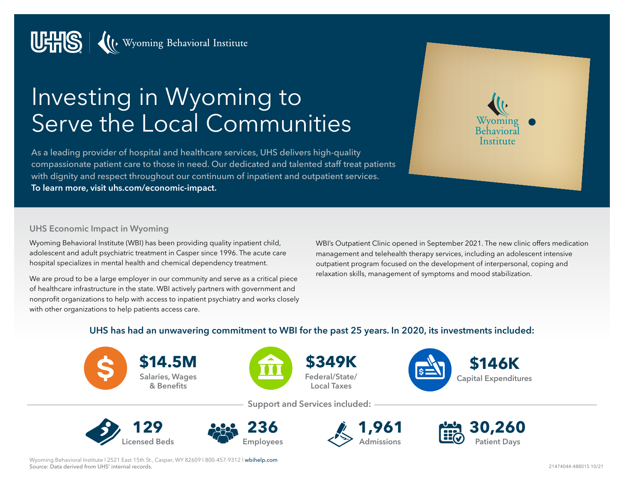

# Investing in Wyoming to Serve the Local Communities

As a leading provider of hospital and healthcare services, UHS delivers high-quality compassionate patient care to those in need. Our dedicated and talented staff treat patients with dignity and respect throughout our continuum of inpatient and outpatient services. **To learn more, visit [uhs.com/economic-impact](https://www.uhs.com/economic-impact).**

Wyomin Institute

#### **UHS Economic Impact in Wyoming**

Wyoming Behavioral Institute (WBI) has been providing quality inpatient child, adolescent and adult psychiatric treatment in Casper since 1996. The acute care hospital specializes in mental health and chemical dependency treatment.

We are proud to be a large employer in our community and serve as a critical piece of healthcare infrastructure in the state. WBI actively partners with government and nonprofit organizations to help with access to inpatient psychiatry and works closely with other organizations to help patients access care.

WBI's Outpatient Clinic opened in September 2021. The new clinic offers medication management and telehealth therapy services, including an adolescent intensive outpatient program focused on the development of interpersonal, coping and relaxation skills, management of symptoms and mood stabilization.

#### **UHS has had an unwavering commitment to WBI for the past 25 years. In 2020, its investments included:**



**\$14.5M Salaries, Wages & Benefits**



**\$349K Federal/State/ Local Taxes**



**Support and Services included:**









Wyoming Behavioral Institute l 2521 East 15th St., Casper, WY 82609 l 800-457-9312 l [wbihelp.com](http://www.wbihelp.com) Source: Data derived from UHS' internal records.